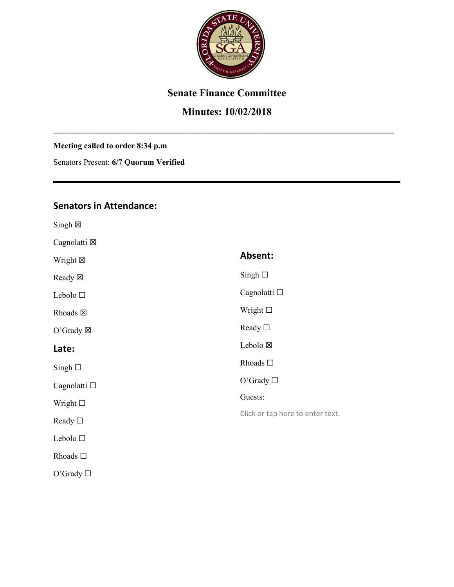

## **Senate Finance Committee**

# **Minutes: 10/02/2018**

\_\_\_\_\_\_\_\_\_\_\_\_\_\_\_\_\_\_\_\_\_\_\_\_\_\_\_\_\_\_\_\_\_\_\_\_\_\_\_\_\_\_\_\_\_\_\_\_\_\_\_\_\_\_\_\_\_\_\_\_\_\_\_\_\_\_\_\_\_\_\_\_\_\_\_\_\_\_\_\_\_\_\_\_

#### **Meeting called to order 8:34 p.m**

Senators Present: **6/7 Quorum Verified**

## **Senators in Attendance:**

| $Singh \boxtimes$   |                                  |
|---------------------|----------------------------------|
| Cagnolatti ⊠        |                                  |
| Wright $\boxtimes$  | Absent:                          |
| Ready ⊠             | Singh $\square$                  |
| Lebolo $\square$    | Cagnolatti □                     |
| Rhoads $\boxtimes$  | Wright $\square$                 |
| O'Grady $\boxtimes$ | Ready $\square$                  |
| Late:               | Lebolo ⊠                         |
| Singh $\square$     | Rhoads $\square$                 |
| Cagnolatti □        | O'Grady $\square$                |
| Wright $\square$    | Guests:                          |
| Ready $\square$     | Click or tap here to enter text. |
| Lebolo □            |                                  |
| Rhoads $\square$    |                                  |
| O'Grady $\square$   |                                  |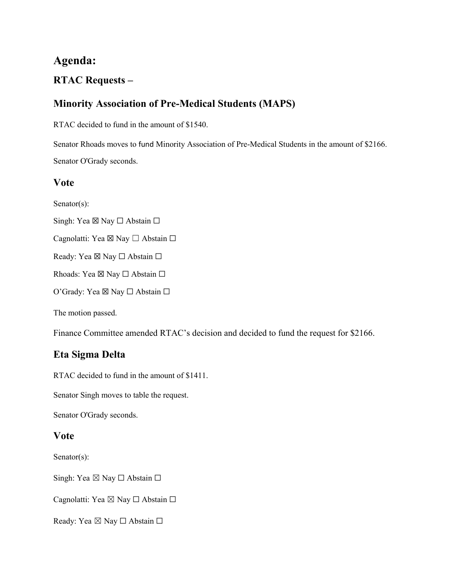# **Agenda:**

## **RTAC Requests –**

# **Minority Association of Pre-Medical Students (MAPS)**

RTAC decided to fund in the amount of \$1540.

Senator Rhoads moves to fund Minority Association of Pre-Medical Students in the amount of \$2166. Senator O'Grady seconds.

### **Vote**

Senator(s):

Singh: Yea ⊠ Nay □ Abstain □

Cagnolatti: Yea ⊠ Nay □ Abstain □

Ready: Yea ⊠ Nay □ Abstain □

Rhoads: Yea ⊠ Nay □ Abstain □

O'Grady: Yea ⊠ Nay □ Abstain □

The motion passed.

Finance Committee amended RTAC's decision and decided to fund the request for \$2166.

## **Eta Sigma Delta**

RTAC decided to fund in the amount of \$1411.

Senator Singh moves to table the request.

Senator O'Grady seconds.

### **Vote**

Senator(s):

Singh: Yea  $\boxtimes$  Nay  $\Box$  Abstain  $\Box$ 

Cagnolatti: Yea ⊠ Nay □ Abstain □

Ready: Yea ⊠ Nay □ Abstain □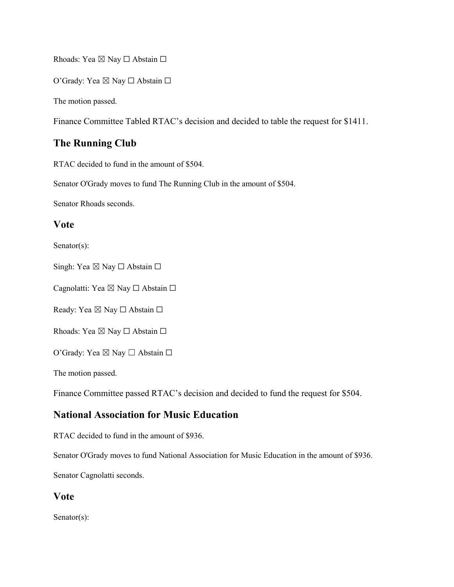Rhoads: Yea ⊠ Nay □ Abstain □

O'Grady: Yea ⊠ Nay □ Abstain □

The motion passed.

Finance Committee Tabled RTAC's decision and decided to table the request for \$1411.

### **The Running Club**

RTAC decided to fund in the amount of \$504.

Senator O'Grady moves to fund The Running Club in the amount of \$504.

Senator Rhoads seconds.

#### **Vote**

Senator(s):

Singh: Yea  $\boxtimes$  Nay  $\Box$  Abstain  $\Box$ 

Cagnolatti: Yea ⊠ Nay □ Abstain □

Ready: Yea ⊠ Nay □ Abstain □

Rhoads: Yea ⊠ Nay □ Abstain □

O'Grady: Yea ⊠ Nay □ Abstain □

The motion passed.

Finance Committee passed RTAC's decision and decided to fund the request for \$504.

#### **National Association for Music Education**

RTAC decided to fund in the amount of \$936.

Senator O'Grady moves to fund National Association for Music Education in the amount of \$936.

Senator Cagnolatti seconds.

#### **Vote**

Senator(s):